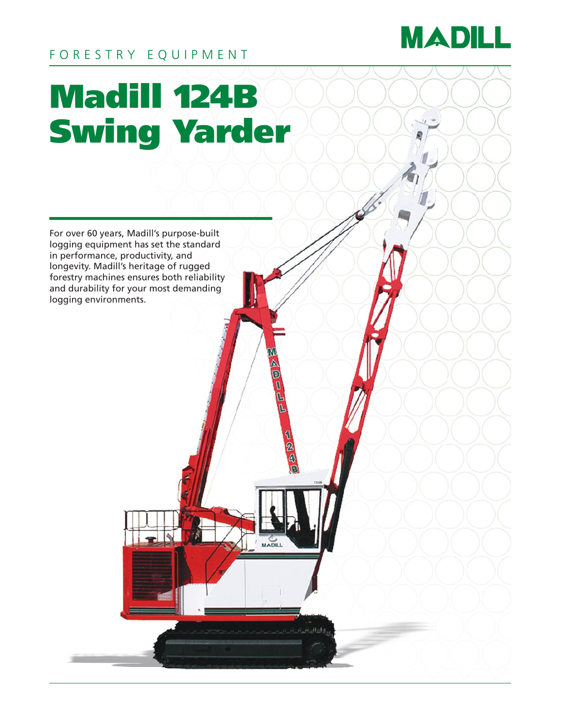

# FORESTRY EQUIPMENT

# Madill 124B Swing Yarder

For over 60 years, Madill's purpose-built logging equipment has set the standard in performance, productivity, and longevity. Madill's heritage of rugged forestry machines ensures both reliability and durability for your most demanding logging environments.